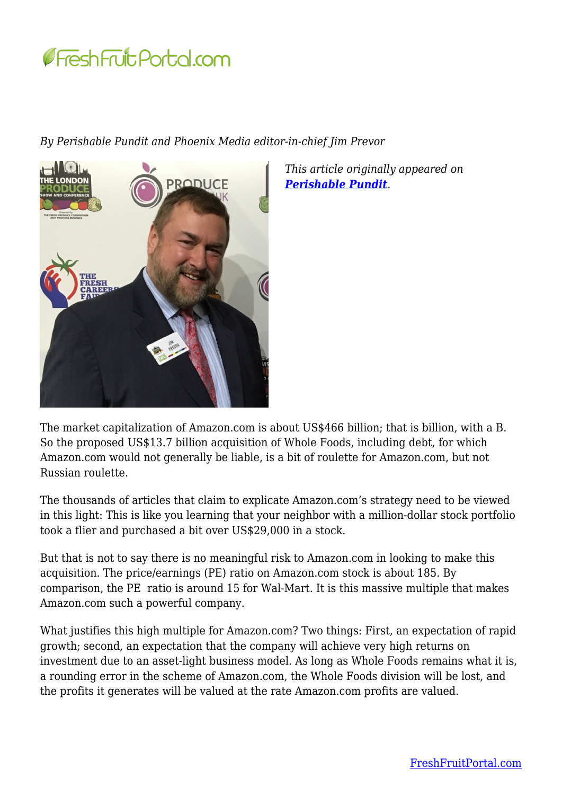

*By Perishable Pundit and Phoenix Media editor-in-chief Jim Prevor*



*This article originally appeared on [Perishable Pundit](http://www.perishablepundit.com/).* 

The market capitalization of Amazon.com is about US\$466 billion; that is billion, with a B. So the proposed US\$13.7 billion acquisition of Whole Foods, including debt, for which Amazon.com would not generally be liable, is a bit of roulette for Amazon.com, but not Russian roulette.

The thousands of articles that claim to explicate Amazon.com's strategy need to be viewed in this light: This is like you learning that your neighbor with a million-dollar stock portfolio took a flier and purchased a bit over US\$29,000 in a stock.

But that is not to say there is no meaningful risk to Amazon.com in looking to make this acquisition. The price/earnings (PE) ratio on Amazon.com stock is about 185. By comparison, the PE ratio is around 15 for Wal-Mart. It is this massive multiple that makes Amazon.com such a powerful company.

What justifies this high multiple for Amazon.com? Two things: First, an expectation of rapid growth; second, an expectation that the company will achieve very high returns on investment due to an asset-light business model. As long as Whole Foods remains what it is, a rounding error in the scheme of Amazon.com, the Whole Foods division will be lost, and the profits it generates will be valued at the rate Amazon.com profits are valued.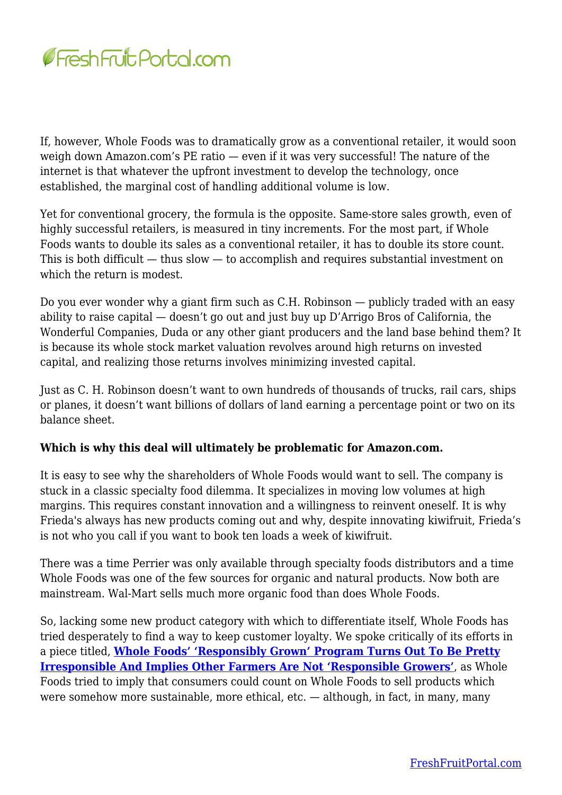

If, however, Whole Foods was to dramatically grow as a conventional retailer, it would soon weigh down Amazon.com's PE ratio — even if it was very successful! The nature of the internet is that whatever the upfront investment to develop the technology, once established, the marginal cost of handling additional volume is low.

Yet for conventional grocery, the formula is the opposite. Same-store sales growth, even of highly successful retailers, is measured in tiny increments. For the most part, if Whole Foods wants to double its sales as a conventional retailer, it has to double its store count. This is both difficult — thus slow — to accomplish and requires substantial investment on which the return is modest.

Do you ever wonder why a giant firm such as C.H. Robinson — publicly traded with an easy ability to raise capital — doesn't go out and just buy up D'Arrigo Bros of California, the Wonderful Companies, Duda or any other giant producers and the land base behind them? It is because its whole stock market valuation revolves around high returns on invested capital, and realizing those returns involves minimizing invested capital.

Just as C. H. Robinson doesn't want to own hundreds of thousands of trucks, rail cars, ships or planes, it doesn't want billions of dollars of land earning a percentage point or two on its balance sheet.

## **Which is why this deal will ultimately be problematic for Amazon.com.**

It is easy to see why the shareholders of Whole Foods would want to sell. The company is stuck in a classic specialty food dilemma. It specializes in moving low volumes at high margins. This requires constant innovation and a willingness to reinvent oneself. It is why Frieda's always has new products coming out and why, despite innovating kiwifruit, Frieda's is not who you call if you want to book ten loads a week of kiwifruit.

There was a time Perrier was only available through specialty foods distributors and a time Whole Foods was one of the few sources for organic and natural products. Now both are mainstream. Wal-Mart sells much more organic food than does Whole Foods.

So, lacking some new product category with which to differentiate itself, Whole Foods has tried desperately to find a way to keep customer loyalty. We spoke critically of its efforts in a piece titled, **[Whole Foods' 'Responsibly Grown' Program Turns Out To Be Pretty](http://www.perishablepundit.com/index.php?article=2970) [Irresponsible And Implies Other Farmers Are Not 'Responsible Growers'](http://www.perishablepundit.com/index.php?article=2970)**, as Whole Foods tried to imply that consumers could count on Whole Foods to sell products which were somehow more sustainable, more ethical, etc. — although, in fact, in many, many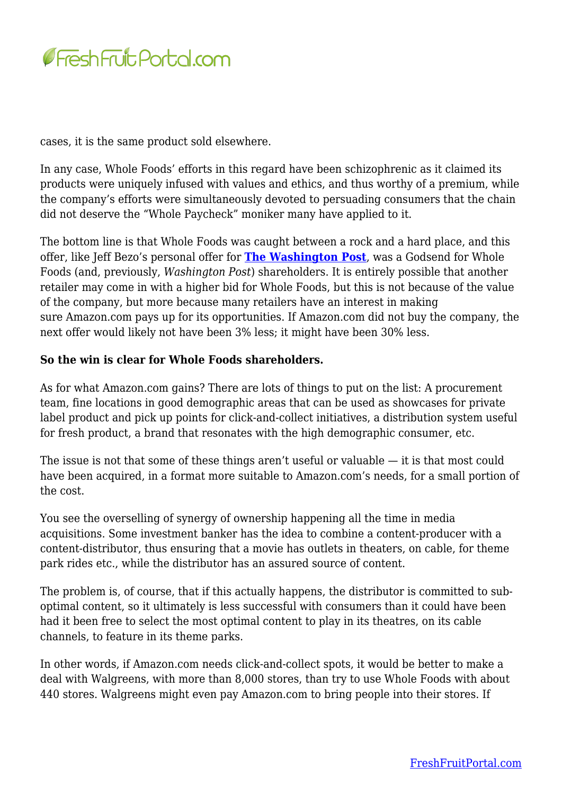

cases, it is the same product sold elsewhere.

In any case, Whole Foods' efforts in this regard have been schizophrenic as it claimed its products were uniquely infused with values and ethics, and thus worthy of a premium, while the company's efforts were simultaneously devoted to persuading consumers that the chain did not deserve the "Whole Paycheck" moniker many have applied to it.

The bottom line is that Whole Foods was caught between a rock and a hard place, and this offer, like Jeff Bezo's personal offer for **[The Washington Post](https://www.bloomberg.com/news/articles/2013-08-08/why-jeff-bezos-bought-the-washington-post)**, was a Godsend for Whole Foods (and, previously, *Washington Post*) shareholders. It is entirely possible that another retailer may come in with a higher bid for Whole Foods, but this is not because of the value of the company, but more because many retailers have an interest in making sure Amazon.com pays up for its opportunities. If Amazon.com did not buy the company, the next offer would likely not have been 3% less; it might have been 30% less.

## **So the win is clear for Whole Foods shareholders.**

As for what Amazon.com gains? There are lots of things to put on the list: A procurement team, fine locations in good demographic areas that can be used as showcases for private label product and pick up points for click-and-collect initiatives, a distribution system useful for fresh product, a brand that resonates with the high demographic consumer, etc.

The issue is not that some of these things aren't useful or valuable — it is that most could have been acquired, in a format more suitable to Amazon.com's needs, for a small portion of the cost.

You see the overselling of synergy of ownership happening all the time in media acquisitions. Some investment banker has the idea to combine a content-producer with a content-distributor, thus ensuring that a movie has outlets in theaters, on cable, for theme park rides etc., while the distributor has an assured source of content.

The problem is, of course, that if this actually happens, the distributor is committed to suboptimal content, so it ultimately is less successful with consumers than it could have been had it been free to select the most optimal content to play in its theatres, on its cable channels, to feature in its theme parks.

In other words, if Amazon.com needs click-and-collect spots, it would be better to make a deal with Walgreens, with more than 8,000 stores, than try to use Whole Foods with about 440 stores. Walgreens might even pay Amazon.com to bring people into their stores. If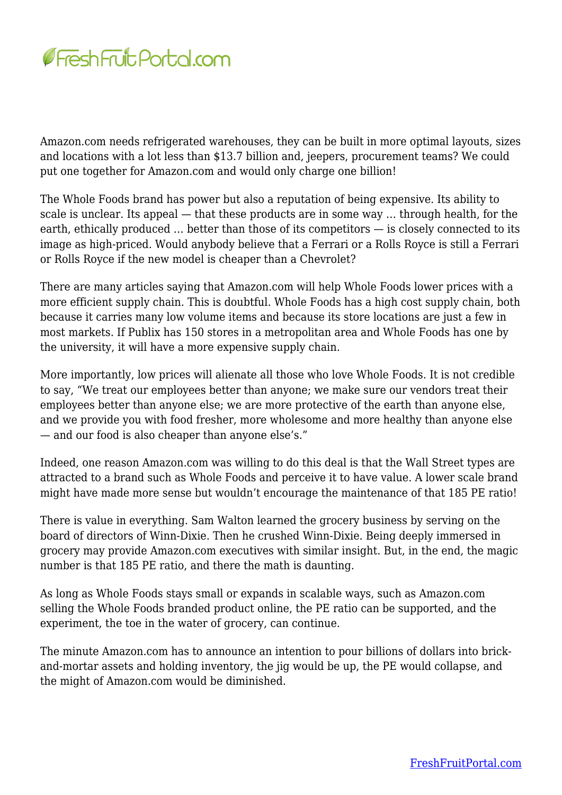

Amazon.com needs refrigerated warehouses, they can be built in more optimal layouts, sizes and locations with a lot less than \$13.7 billion and, jeepers, procurement teams? We could put one together for Amazon.com and would only charge one billion!

The Whole Foods brand has power but also a reputation of being expensive. Its ability to scale is unclear. Its appeal — that these products are in some way … through health, for the earth, ethically produced … better than those of its competitors — is closely connected to its image as high-priced. Would anybody believe that a Ferrari or a Rolls Royce is still a Ferrari or Rolls Royce if the new model is cheaper than a Chevrolet?

There are many articles saying that Amazon.com will help Whole Foods lower prices with a more efficient supply chain. This is doubtful. Whole Foods has a high cost supply chain, both because it carries many low volume items and because its store locations are just a few in most markets. If Publix has 150 stores in a metropolitan area and Whole Foods has one by the university, it will have a more expensive supply chain.

More importantly, low prices will alienate all those who love Whole Foods. It is not credible to say, "We treat our employees better than anyone; we make sure our vendors treat their employees better than anyone else; we are more protective of the earth than anyone else, and we provide you with food fresher, more wholesome and more healthy than anyone else — and our food is also cheaper than anyone else's."

Indeed, one reason Amazon.com was willing to do this deal is that the Wall Street types are attracted to a brand such as Whole Foods and perceive it to have value. A lower scale brand might have made more sense but wouldn't encourage the maintenance of that 185 PE ratio!

There is value in everything. Sam Walton learned the grocery business by serving on the board of directors of Winn-Dixie. Then he crushed Winn-Dixie. Being deeply immersed in grocery may provide Amazon.com executives with similar insight. But, in the end, the magic number is that 185 PE ratio, and there the math is daunting.

As long as Whole Foods stays small or expands in scalable ways, such as Amazon.com selling the Whole Foods branded product online, the PE ratio can be supported, and the experiment, the toe in the water of grocery, can continue.

The minute Amazon.com has to announce an intention to pour billions of dollars into brickand-mortar assets and holding inventory, the jig would be up, the PE would collapse, and the might of Amazon.com would be diminished.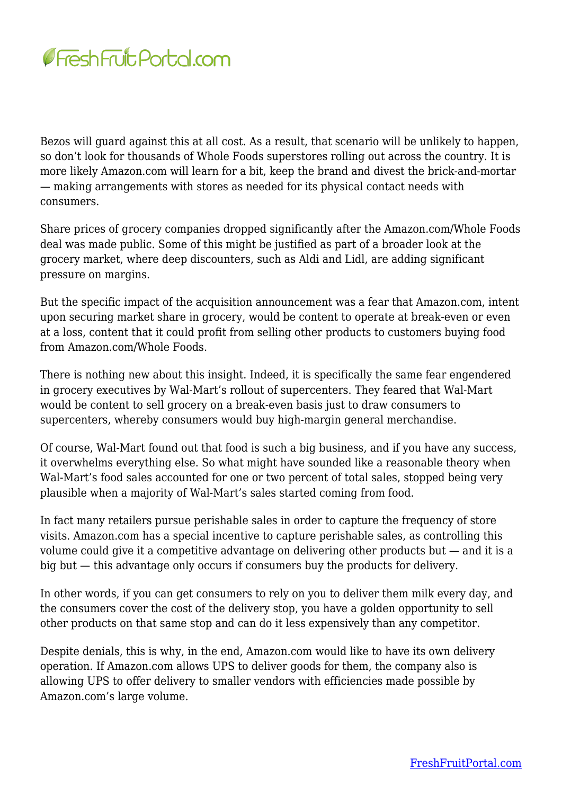

Bezos will guard against this at all cost. As a result, that scenario will be unlikely to happen, so don't look for thousands of Whole Foods superstores rolling out across the country. It is more likely Amazon.com will learn for a bit, keep the brand and divest the brick-and-mortar — making arrangements with stores as needed for its physical contact needs with consumers.

Share prices of grocery companies dropped significantly after the Amazon.com/Whole Foods deal was made public. Some of this might be justified as part of a broader look at the grocery market, where deep discounters, such as Aldi and Lidl, are adding significant pressure on margins.

But the specific impact of the acquisition announcement was a fear that Amazon.com, intent upon securing market share in grocery, would be content to operate at break-even or even at a loss, content that it could profit from selling other products to customers buying food from Amazon.com/Whole Foods.

There is nothing new about this insight. Indeed, it is specifically the same fear engendered in grocery executives by Wal-Mart's rollout of supercenters. They feared that Wal-Mart would be content to sell grocery on a break-even basis just to draw consumers to supercenters, whereby consumers would buy high-margin general merchandise.

Of course, Wal-Mart found out that food is such a big business, and if you have any success, it overwhelms everything else. So what might have sounded like a reasonable theory when Wal-Mart's food sales accounted for one or two percent of total sales, stopped being very plausible when a majority of Wal-Mart's sales started coming from food.

In fact many retailers pursue perishable sales in order to capture the frequency of store visits. Amazon.com has a special incentive to capture perishable sales, as controlling this volume could give it a competitive advantage on delivering other products but — and it is a big but — this advantage only occurs if consumers buy the products for delivery.

In other words, if you can get consumers to rely on you to deliver them milk every day, and the consumers cover the cost of the delivery stop, you have a golden opportunity to sell other products on that same stop and can do it less expensively than any competitor.

Despite denials, this is why, in the end, Amazon.com would like to have its own delivery operation. If Amazon.com allows UPS to deliver goods for them, the company also is allowing UPS to offer delivery to smaller vendors with efficiencies made possible by Amazon.com's large volume.